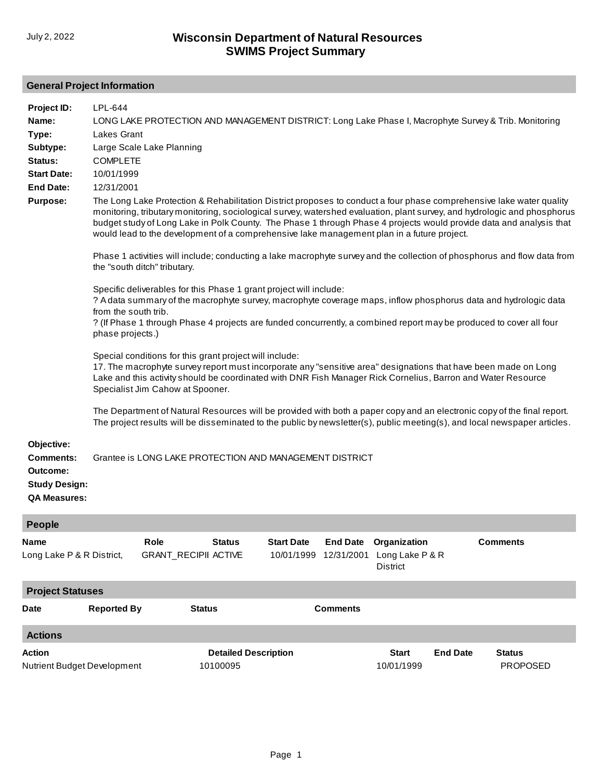## **General Project Information**

| Project ID:<br>Name:<br>Type:<br>Subtype:<br>Status:<br><b>Start Date:</b><br><b>End Date:</b><br><b>Purpose:</b><br>Objective: | LPL-644<br>LONG LAKE PROTECTION AND MANAGEMENT DISTRICT: Long Lake Phase I, Macrophyte Survey & Trib. Monitoring<br><b>Lakes Grant</b><br>Large Scale Lake Planning<br><b>COMPLETE</b><br>10/01/1999<br>12/31/2001<br>The Long Lake Protection & Rehabilitation District proposes to conduct a four phase comprehensive lake water quality<br>monitoring, tributary monitoring, sociological survey, watershed evaluation, plant survey, and hydrologic and phosphorus<br>budget study of Long Lake in Polk County. The Phase 1 through Phase 4 projects would provide data and analysis that<br>would lead to the development of a comprehensive lake management plan in a future project.<br>Phase 1 activities will include; conducting a lake macrophyte survey and the collection of phosphorus and flow data from<br>the "south ditch" tributary.<br>Specific deliverables for this Phase 1 grant project will include:<br>? A data summary of the macrophyte survey, macrophyte coverage maps, inflow phosphorus data and hydrologic data<br>from the south trib.<br>? (If Phase 1 through Phase 4 projects are funded concurrently, a combined report may be produced to cover all four<br>phase projects.)<br>Special conditions for this grant project will include:<br>17. The macrophyte survey report must incorporate any "sensitive area" designations that have been made on Long<br>Lake and this activity should be coordinated with DNR Fish Manager Rick Cornelius, Barron and Water Resource<br>Specialist Jim Cahow at Spooner.<br>The Department of Natural Resources will be provided with both a paper copy and an electronic copy of the final report.<br>The project results will be disseminated to the public by newsletter(s), public meeting(s), and local newspaper articles. |                                     |                                                         |                                 |                               |                                                    |                 |                                  |
|---------------------------------------------------------------------------------------------------------------------------------|---------------------------------------------------------------------------------------------------------------------------------------------------------------------------------------------------------------------------------------------------------------------------------------------------------------------------------------------------------------------------------------------------------------------------------------------------------------------------------------------------------------------------------------------------------------------------------------------------------------------------------------------------------------------------------------------------------------------------------------------------------------------------------------------------------------------------------------------------------------------------------------------------------------------------------------------------------------------------------------------------------------------------------------------------------------------------------------------------------------------------------------------------------------------------------------------------------------------------------------------------------------------------------------------------------------------------------------------------------------------------------------------------------------------------------------------------------------------------------------------------------------------------------------------------------------------------------------------------------------------------------------------------------------------------------------------------------------------------------------------------------------------------------------------------------------|-------------------------------------|---------------------------------------------------------|---------------------------------|-------------------------------|----------------------------------------------------|-----------------|----------------------------------|
| <b>Comments:</b><br>Outcome:<br><b>Study Design:</b><br><b>QA Measures:</b>                                                     |                                                                                                                                                                                                                                                                                                                                                                                                                                                                                                                                                                                                                                                                                                                                                                                                                                                                                                                                                                                                                                                                                                                                                                                                                                                                                                                                                                                                                                                                                                                                                                                                                                                                                                                                                                                                               |                                     | Grantee is LONG LAKE PROTECTION AND MANAGEMENT DISTRICT |                                 |                               |                                                    |                 |                                  |
| People                                                                                                                          |                                                                                                                                                                                                                                                                                                                                                                                                                                                                                                                                                                                                                                                                                                                                                                                                                                                                                                                                                                                                                                                                                                                                                                                                                                                                                                                                                                                                                                                                                                                                                                                                                                                                                                                                                                                                               |                                     |                                                         |                                 |                               |                                                    |                 |                                  |
| Name<br>Long Lake P & R District,                                                                                               |                                                                                                                                                                                                                                                                                                                                                                                                                                                                                                                                                                                                                                                                                                                                                                                                                                                                                                                                                                                                                                                                                                                                                                                                                                                                                                                                                                                                                                                                                                                                                                                                                                                                                                                                                                                                               | Role<br><b>GRANT_RECIPII ACTIVE</b> | <b>Status</b>                                           | <b>Start Date</b><br>10/01/1999 | <b>End Date</b><br>12/31/2001 | Organization<br>Long Lake P & R<br><b>District</b> |                 | <b>Comments</b>                  |
| <b>Project Statuses</b>                                                                                                         |                                                                                                                                                                                                                                                                                                                                                                                                                                                                                                                                                                                                                                                                                                                                                                                                                                                                                                                                                                                                                                                                                                                                                                                                                                                                                                                                                                                                                                                                                                                                                                                                                                                                                                                                                                                                               |                                     |                                                         |                                 |                               |                                                    |                 |                                  |
| Date                                                                                                                            | <b>Reported By</b>                                                                                                                                                                                                                                                                                                                                                                                                                                                                                                                                                                                                                                                                                                                                                                                                                                                                                                                                                                                                                                                                                                                                                                                                                                                                                                                                                                                                                                                                                                                                                                                                                                                                                                                                                                                            |                                     | <b>Status</b>                                           |                                 | <b>Comments</b>               |                                                    |                 |                                  |
| <b>Actions</b>                                                                                                                  |                                                                                                                                                                                                                                                                                                                                                                                                                                                                                                                                                                                                                                                                                                                                                                                                                                                                                                                                                                                                                                                                                                                                                                                                                                                                                                                                                                                                                                                                                                                                                                                                                                                                                                                                                                                                               |                                     |                                                         |                                 |                               |                                                    |                 |                                  |
| Action<br>Nutrient Budget Development                                                                                           |                                                                                                                                                                                                                                                                                                                                                                                                                                                                                                                                                                                                                                                                                                                                                                                                                                                                                                                                                                                                                                                                                                                                                                                                                                                                                                                                                                                                                                                                                                                                                                                                                                                                                                                                                                                                               |                                     | <b>Detailed Description</b><br>10100095                 |                                 |                               | <b>Start</b><br>10/01/1999                         | <b>End Date</b> | <b>Status</b><br><b>PROPOSED</b> |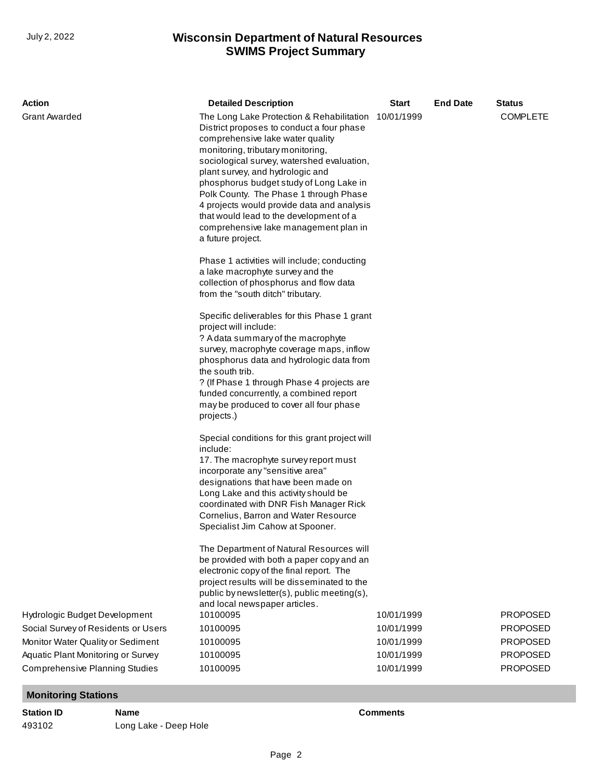## **SWIMS Project Summary** July 2, 2022 **Wisconsin Department of Natural Resources**

| Action                                                                      | <b>Detailed Description</b>                                                                                                                                                                                                                                                                                                                                                                                                                                                                   | <b>Start</b>             | <b>End Date</b> | <b>Status</b>        |
|-----------------------------------------------------------------------------|-----------------------------------------------------------------------------------------------------------------------------------------------------------------------------------------------------------------------------------------------------------------------------------------------------------------------------------------------------------------------------------------------------------------------------------------------------------------------------------------------|--------------------------|-----------------|----------------------|
| <b>Grant Awarded</b>                                                        | The Long Lake Protection & Rehabilitation<br>District proposes to conduct a four phase<br>comprehensive lake water quality<br>monitoring, tributary monitoring,<br>sociological survey, watershed evaluation,<br>plant survey, and hydrologic and<br>phosphorus budget study of Long Lake in<br>Polk County. The Phase 1 through Phase<br>4 projects would provide data and analysis<br>that would lead to the development of a<br>comprehensive lake management plan in<br>a future project. | 10/01/1999               |                 | <b>COMPLETE</b>      |
|                                                                             | Phase 1 activities will include; conducting<br>a lake macrophyte survey and the<br>collection of phosphorus and flow data<br>from the "south ditch" tributary.                                                                                                                                                                                                                                                                                                                                |                          |                 |                      |
|                                                                             | Specific deliverables for this Phase 1 grant<br>project will include:<br>? A data summary of the macrophyte                                                                                                                                                                                                                                                                                                                                                                                   |                          |                 |                      |
|                                                                             | survey, macrophyte coverage maps, inflow<br>phosphorus data and hydrologic data from                                                                                                                                                                                                                                                                                                                                                                                                          |                          |                 |                      |
|                                                                             | the south trib.                                                                                                                                                                                                                                                                                                                                                                                                                                                                               |                          |                 |                      |
|                                                                             | ? (If Phase 1 through Phase 4 projects are<br>funded concurrently, a combined report<br>may be produced to cover all four phase<br>projects.)                                                                                                                                                                                                                                                                                                                                                 |                          |                 |                      |
|                                                                             | Special conditions for this grant project will<br>include:<br>17. The macrophyte survey report must                                                                                                                                                                                                                                                                                                                                                                                           |                          |                 |                      |
|                                                                             | incorporate any "sensitive area"                                                                                                                                                                                                                                                                                                                                                                                                                                                              |                          |                 |                      |
|                                                                             | designations that have been made on<br>Long Lake and this activity should be                                                                                                                                                                                                                                                                                                                                                                                                                  |                          |                 |                      |
|                                                                             | coordinated with DNR Fish Manager Rick                                                                                                                                                                                                                                                                                                                                                                                                                                                        |                          |                 |                      |
|                                                                             | Cornelius, Barron and Water Resource<br>Specialist Jim Cahow at Spooner.                                                                                                                                                                                                                                                                                                                                                                                                                      |                          |                 |                      |
|                                                                             | The Department of Natural Resources will<br>be provided with both a paper copy and an<br>electronic copy of the final report. The<br>project results will be disseminated to the<br>public by newsletter(s), public meeting(s),<br>and local newspaper articles.                                                                                                                                                                                                                              |                          |                 |                      |
| Hydrologic Budget Development                                               | 10100095                                                                                                                                                                                                                                                                                                                                                                                                                                                                                      | 10/01/1999               |                 | <b>PROPOSED</b>      |
| Social Survey of Residents or Users                                         | 10100095                                                                                                                                                                                                                                                                                                                                                                                                                                                                                      | 10/01/1999               |                 | <b>PROPOSED</b>      |
| Monitor Water Quality or Sediment                                           | 10100095                                                                                                                                                                                                                                                                                                                                                                                                                                                                                      | 10/01/1999               |                 | <b>PROPOSED</b>      |
| Aquatic Plant Monitoring or Survey<br><b>Comprehensive Planning Studies</b> | 10100095<br>10100095                                                                                                                                                                                                                                                                                                                                                                                                                                                                          | 10/01/1999<br>10/01/1999 |                 | PROPOSED<br>PROPOSED |
|                                                                             |                                                                                                                                                                                                                                                                                                                                                                                                                                                                                               |                          |                 |                      |

**Monitoring Stations**

**Station ID Name Comments** 493102 [Long Lake - Deep Hole](http://prodoasint.dnr.wi.gov/swims/viewStation.html?id=8955)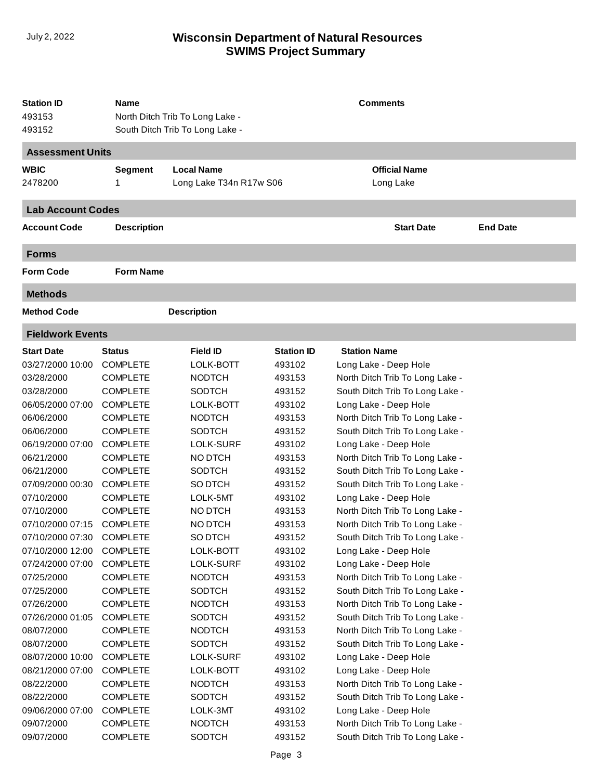## **SWIMS Project Summary** July 2, 2022 **Wisconsin Department of Natural Resources**

| <b>Station ID</b><br>493153<br>493152 | Name               | <b>Comments</b><br>North Ditch Trib To Long Lake -<br>South Ditch Trib To Long Lake - |                   |                                 |                 |  |
|---------------------------------------|--------------------|---------------------------------------------------------------------------------------|-------------------|---------------------------------|-----------------|--|
| <b>Assessment Units</b>               |                    |                                                                                       |                   |                                 |                 |  |
| <b>WBIC</b>                           | <b>Segment</b>     | <b>Local Name</b>                                                                     |                   | <b>Official Name</b>            |                 |  |
| 2478200                               | 1                  | Long Lake T34n R17w S06                                                               |                   | Long Lake                       |                 |  |
| <b>Lab Account Codes</b>              |                    |                                                                                       |                   |                                 |                 |  |
| <b>Account Code</b>                   | <b>Description</b> |                                                                                       |                   | <b>Start Date</b>               | <b>End Date</b> |  |
| <b>Forms</b>                          |                    |                                                                                       |                   |                                 |                 |  |
| <b>Form Code</b>                      | <b>Form Name</b>   |                                                                                       |                   |                                 |                 |  |
| <b>Methods</b>                        |                    |                                                                                       |                   |                                 |                 |  |
| <b>Method Code</b>                    |                    | <b>Description</b>                                                                    |                   |                                 |                 |  |
| <b>Fieldwork Events</b>               |                    |                                                                                       |                   |                                 |                 |  |
| <b>Start Date</b>                     | <b>Status</b>      | <b>Field ID</b>                                                                       | <b>Station ID</b> | <b>Station Name</b>             |                 |  |
| 03/27/2000 10:00                      | <b>COMPLETE</b>    | LOLK-BOTT                                                                             | 493102            | Long Lake - Deep Hole           |                 |  |
| 03/28/2000                            | <b>COMPLETE</b>    | <b>NODTCH</b>                                                                         | 493153            | North Ditch Trib To Long Lake - |                 |  |
| 03/28/2000                            | <b>COMPLETE</b>    | <b>SODTCH</b>                                                                         | 493152            | South Ditch Trib To Long Lake - |                 |  |
| 06/05/2000 07:00                      | <b>COMPLETE</b>    | LOLK-BOTT                                                                             | 493102            | Long Lake - Deep Hole           |                 |  |
| 06/06/2000                            | <b>COMPLETE</b>    | <b>NODTCH</b>                                                                         | 493153            | North Ditch Trib To Long Lake - |                 |  |
| 06/06/2000                            | <b>COMPLETE</b>    | <b>SODTCH</b>                                                                         | 493152            | South Ditch Trib To Long Lake - |                 |  |
| 06/19/2000 07:00                      | <b>COMPLETE</b>    | LOLK-SURF                                                                             | 493102            | Long Lake - Deep Hole           |                 |  |
| 06/21/2000                            | <b>COMPLETE</b>    | NO DTCH                                                                               | 493153            | North Ditch Trib To Long Lake - |                 |  |
| 06/21/2000                            | <b>COMPLETE</b>    | <b>SODTCH</b>                                                                         | 493152            | South Ditch Trib To Long Lake - |                 |  |
| 07/09/2000 00:30                      | <b>COMPLETE</b>    | SO DTCH                                                                               | 493152            | South Ditch Trib To Long Lake - |                 |  |
| 07/10/2000                            | <b>COMPLETE</b>    | LOLK-5MT                                                                              | 493102            | Long Lake - Deep Hole           |                 |  |
| 07/10/2000                            | <b>COMPLETE</b>    | NO DTCH                                                                               | 493153            | North Ditch Trib To Long Lake - |                 |  |
| 07/10/2000 07:15                      | <b>COMPLETE</b>    | NO DTCH                                                                               | 493153            | North Ditch Trib To Long Lake - |                 |  |
| 07/10/2000 07:30                      | <b>COMPLETE</b>    | SO DTCH                                                                               | 493152            | South Ditch Trib To Long Lake - |                 |  |
| 07/10/2000 12:00                      | <b>COMPLETE</b>    | LOLK-BOTT                                                                             | 493102            | Long Lake - Deep Hole           |                 |  |
| 07/24/2000 07:00                      | <b>COMPLETE</b>    | LOLK-SURF                                                                             | 493102            | Long Lake - Deep Hole           |                 |  |
| 07/25/2000                            | <b>COMPLETE</b>    | <b>NODTCH</b>                                                                         | 493153            | North Ditch Trib To Long Lake - |                 |  |
| 07/25/2000                            | <b>COMPLETE</b>    | <b>SODTCH</b>                                                                         | 493152            | South Ditch Trib To Long Lake - |                 |  |
| 07/26/2000                            | <b>COMPLETE</b>    | <b>NODTCH</b>                                                                         | 493153            | North Ditch Trib To Long Lake - |                 |  |
| 07/26/2000 01:05                      | <b>COMPLETE</b>    | <b>SODTCH</b>                                                                         | 493152            | South Ditch Trib To Long Lake - |                 |  |
| 08/07/2000                            | <b>COMPLETE</b>    | <b>NODTCH</b>                                                                         | 493153            | North Ditch Trib To Long Lake - |                 |  |
| 08/07/2000                            | <b>COMPLETE</b>    | <b>SODTCH</b>                                                                         | 493152            | South Ditch Trib To Long Lake - |                 |  |
| 08/07/2000 10:00                      | <b>COMPLETE</b>    | LOLK-SURF                                                                             | 493102            | Long Lake - Deep Hole           |                 |  |
| 08/21/2000 07:00                      | <b>COMPLETE</b>    | LOLK-BOTT                                                                             | 493102            | Long Lake - Deep Hole           |                 |  |
| 08/22/2000                            | <b>COMPLETE</b>    | <b>NODTCH</b>                                                                         | 493153            | North Ditch Trib To Long Lake - |                 |  |
| 08/22/2000                            | <b>COMPLETE</b>    | <b>SODTCH</b>                                                                         | 493152            | South Ditch Trib To Long Lake - |                 |  |
| 09/06/2000 07:00                      | <b>COMPLETE</b>    | LOLK-3MT                                                                              | 493102            | Long Lake - Deep Hole           |                 |  |
| 09/07/2000                            | <b>COMPLETE</b>    | <b>NODTCH</b>                                                                         | 493153            | North Ditch Trib To Long Lake - |                 |  |
| 09/07/2000                            | <b>COMPLETE</b>    | <b>SODTCH</b>                                                                         | 493152            | South Ditch Trib To Long Lake - |                 |  |